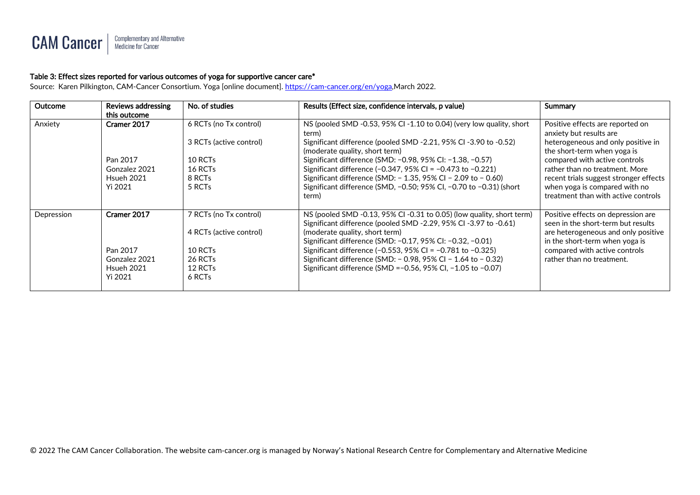## **CAM Cancer** | Complementary and Alternative

## Table 3: Effect sizes reported for various outcomes of yoga for supportive cancer care\*

Source: Karen Pilkington, CAM-Cancer Consortium. Yoga [online document]. [https://cam-cancer.org/en/yoga,M](https://cam-cancer.org/en/yoga)arch 2022.

| <b>Outcome</b> | Reviews addressing<br>this outcome | No. of studies                | Results (Effect size, confidence intervals, p value)                                                                                      | Summary                                                                  |
|----------------|------------------------------------|-------------------------------|-------------------------------------------------------------------------------------------------------------------------------------------|--------------------------------------------------------------------------|
| Anxiety        | Cramer 2017                        | 6 RCTs (no Tx control)        | NS (pooled SMD -0.53, 95% CI -1.10 to 0.04) (very low quality, short<br>term)                                                             | Positive effects are reported on<br>anxiety but results are              |
|                |                                    | 3 RCTs (active control)       | Significant difference (pooled SMD -2.21, 95% CI -3.90 to -0.52)<br>(moderate quality, short term)                                        | heterogeneous and only positive in<br>the short-term when yoga is        |
|                | Pan 2017                           | 10 RCT <sub>s</sub>           | Significant difference (SMD: -0.98, 95% CI: -1.38, -0.57)                                                                                 | compared with active controls                                            |
|                | Gonzalez 2021                      | 16 RCTs                       | Significant difference $(-0.347, 95\% \text{ Cl} = -0.473 \text{ to } -0.221)$                                                            | rather than no treatment. More                                           |
|                | Hsueh 2021<br>Yi 2021              | 8 RCT <sub>s</sub><br>5 RCTs  | Significant difference (SMD: $-$ 1.35, 95% CI $-$ 2.09 to $-$ 0.60)<br>Significant difference (SMD, -0.50; 95% CI, -0.70 to -0.31) (short | recent trials suggest stronger effects                                   |
|                |                                    |                               | term)                                                                                                                                     | when yoga is compared with no<br>treatment than with active controls     |
| Depression     | Cramer 2017                        | 7 RCTs (no Tx control)        | NS (pooled SMD -0.13, 95% CI -0.31 to 0.05) (low quality, short term)<br>Significant difference (pooled SMD -2.29, 95% CI -3.97 to -0.61) | Positive effects on depression are<br>seen in the short-term but results |
|                |                                    | 4 RCTs (active control)       | (moderate quality, short term)<br>Significant difference (SMD: -0.17, 95% CI: -0.32, -0.01)                                               | are heterogeneous and only positive<br>in the short-term when yoga is    |
|                | Pan 2017                           | 10 RCT <sub>s</sub>           | Significant difference $(-0.553, 95\% \text{ Cl} = -0.781 \text{ to } -0.325)$                                                            | compared with active controls                                            |
|                | Gonzalez 2021                      | 26 RCT <sub>s</sub>           | Significant difference (SMD: $-$ 0.98, 95% CI $-$ 1.64 to $-$ 0.32)                                                                       | rather than no treatment.                                                |
|                | <b>Hsueh 2021</b><br>Yi 2021       | 12 RCT <sub>s</sub><br>6 RCTs | Significant difference (SMD = $-0.56$ , 95% CI, $-1.05$ to $-0.07$ )                                                                      |                                                                          |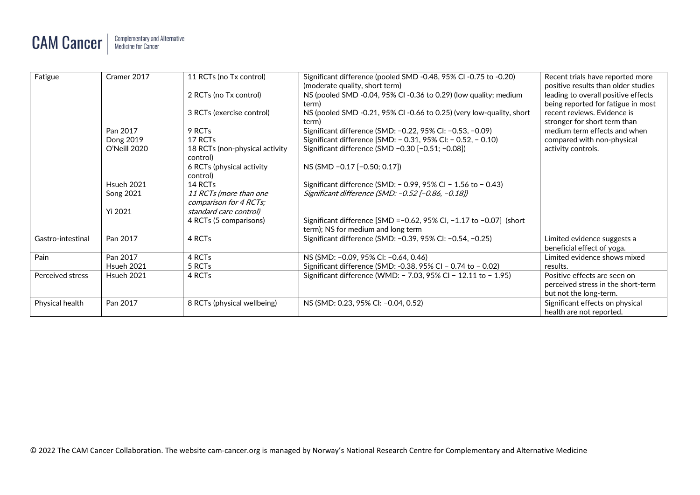## **CAM Cancer** | Complementary and Alternative

| Fatigue           | Cramer 2017  | 11 RCTs (no Tx control)        | Significant difference (pooled SMD -0.48, 95% CI -0.75 to -0.20)              | Recent trials have reported more                            |
|-------------------|--------------|--------------------------------|-------------------------------------------------------------------------------|-------------------------------------------------------------|
|                   |              |                                | (moderate quality, short term)                                                | positive results than older studies                         |
|                   |              | 2 RCTs (no Tx control)         | NS (pooled SMD -0.04, 95% CI -0.36 to 0.29) (low quality; medium              | leading to overall positive effects                         |
|                   |              |                                | term)                                                                         | being reported for fatigue in most                          |
|                   |              | 3 RCTs (exercise control)      | NS (pooled SMD -0.21, 95% CI -0.66 to 0.25) (very low-quality, short<br>term) | recent reviews. Evidence is<br>stronger for short term than |
|                   | Pan 2017     | 9 RCT <sub>s</sub>             | Significant difference (SMD: -0.22, 95% CI: -0.53, -0.09)                     | medium term effects and when                                |
|                   | Dong 2019    | 17 RCTs                        | Significant difference [SMD: - 0.31, 95% CI: - 0.52, - 0.10)                  | compared with non-physical                                  |
|                   | O'Neill 2020 | 18 RCTs (non-physical activity | Significant difference (SMD $-0.30$ $[-0.51; -0.08]$ )                        | activity controls.                                          |
|                   |              | control)                       |                                                                               |                                                             |
|                   |              | 6 RCTs (physical activity      | NS (SMD -0.17 [-0.50; 0.17])                                                  |                                                             |
|                   |              | control)                       |                                                                               |                                                             |
|                   | Hsueh 2021   | 14 RCTs                        | Significant difference (SMD: $-$ 0.99, 95% CI $-$ 1.56 to $-$ 0.43)           |                                                             |
|                   | Song 2021    | 11 RCTs (more than one         | Significant difference (SMD: -0.52 [-0.86, -0.18])                            |                                                             |
|                   |              | comparison for 4 RCTs;         |                                                                               |                                                             |
|                   | Yi 2021      | standard care control)         |                                                                               |                                                             |
|                   |              | 4 RCTs (5 comparisons)         | Significant difference [SMD = $-0.62$ , 95% CI, $-1.17$ to $-0.07$ ] (short   |                                                             |
|                   |              |                                | term); NS for medium and long term                                            |                                                             |
| Gastro-intestinal | Pan 2017     | 4 RCT <sub>s</sub>             | Significant difference (SMD: -0.39, 95% CI: -0.54, -0.25)                     | Limited evidence suggests a                                 |
|                   |              |                                |                                                                               | beneficial effect of yoga.                                  |
| Pain              | Pan 2017     | 4 RCTs                         | NS (SMD: -0.09, 95% CI: -0.64, 0.46)                                          | Limited evidence shows mixed                                |
|                   | Hsueh 2021   | 5 RCTs                         | Significant difference (SMD: -0.38, 95% CI - 0.74 to - 0.02)                  | results.                                                    |
| Perceived stress  | Hsueh 2021   | 4 RCTs                         | Significant difference (WMD: $- 7.03$ , 95% CI $- 12.11$ to $- 1.95$ )        | Positive effects are seen on                                |
|                   |              |                                |                                                                               | perceived stress in the short-term                          |
|                   |              |                                |                                                                               | but not the long-term.                                      |
| Physical health   | Pan 2017     | 8 RCTs (physical wellbeing)    | NS (SMD: 0.23, 95% CI: -0.04, 0.52)                                           | Significant effects on physical                             |
|                   |              |                                |                                                                               | health are not reported.                                    |